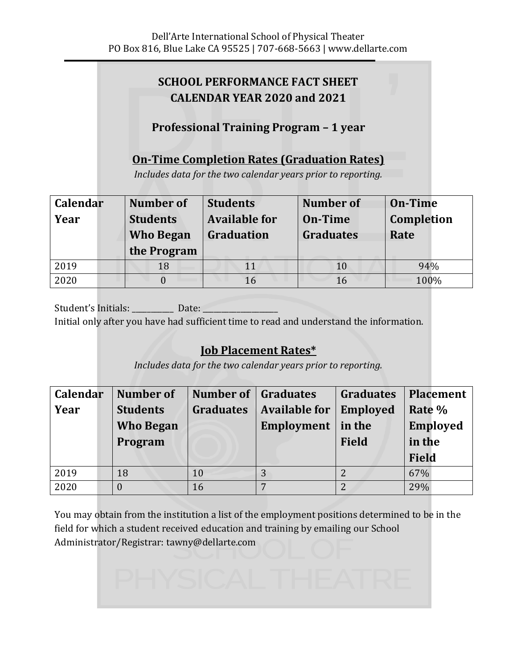# **SCHOOL PERFORMANCE FACT SHEET CALENDAR YEAR 2020 and 2021**

# **Professional Training Program - 1 year**

## **On-Time Completion Rates (Graduation Rates)**

*Includes data for the two calendar years prior to reporting.*

| Calendar | Number of        | <b>Students</b>      | <b>Number</b> of | <b>On-Time</b>    |
|----------|------------------|----------------------|------------------|-------------------|
| Year     | <b>Students</b>  | <b>Available for</b> | On-Time          | <b>Completion</b> |
|          | <b>Who Began</b> | Graduation           | <b>Graduates</b> | Rate              |
|          |                  |                      |                  |                   |
|          | the Program      |                      |                  |                   |
| 2019     | 18               | 11                   | 10               | 94%               |

Student's Initials: [2015] Date: Initial only after you have had sufficient time to read and understand the information.

## **Job Placement Rates\***

*Includes data for the two calendar years prior to reporting.*

| Calendar | <b>Number</b> of | <b>Number of Graduates</b> |                      | <b>Graduates</b> | <b>Placement</b> |
|----------|------------------|----------------------------|----------------------|------------------|------------------|
| Year     | <b>Students</b>  | <b>Graduates</b>           | <b>Available for</b> | <b>Employed</b>  | Rate %           |
|          | <b>Who Began</b> |                            | Employment           | in the           | <b>Employed</b>  |
|          | Program          |                            |                      | <b>Field</b>     | in the           |
|          |                  |                            |                      |                  | <b>Field</b>     |
| 2019     | 18               | 10                         |                      |                  | 67%              |
| 2020     |                  | 16                         |                      | $\overline{2}$   | 29%              |

You may obtain from the institution a list of the employment positions determined to be in the field for which a student received education and training by emailing our School Administrator/Registrar: tawny@dellarte.com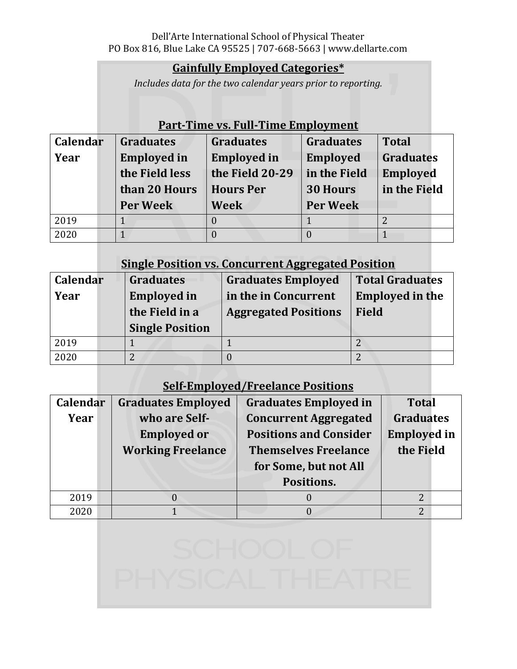### **Gainfully Employed Categories\***

*Includes data for the two calendar years prior to reporting.*

### **Part-Time vs. Full-Time Employment**

| Calendar | <b>Graduates</b>   | <b>Graduates</b>   | <b>Graduates</b> | <b>Total</b>     |
|----------|--------------------|--------------------|------------------|------------------|
| Year     | <b>Employed in</b> | <b>Employed</b> in | <b>Employed</b>  | <b>Graduates</b> |
|          | the Field less     | the Field 20-29    | in the Field     | <b>Employed</b>  |
|          | than 20 Hours      | <b>Hours Per</b>   | <b>30 Hours</b>  | in the Field     |
|          | <b>Per Week</b>    | <b>Week</b>        | <b>Per Week</b>  |                  |
| 2019     |                    |                    |                  |                  |
| 2020     |                    |                    |                  |                  |

### **Single Position vs. Concurrent Aggregated Position**

| <b>Calendar</b> | <b>Graduates</b>       | <b>Graduates Employed</b>   | <b>Total Graduates</b> |  |
|-----------------|------------------------|-----------------------------|------------------------|--|
| Year            | <b>Employed in</b>     | in the in Concurrent        | <b>Employed in the</b> |  |
|                 | the Field in a         | <b>Aggregated Positions</b> | <b>Field</b>           |  |
|                 | <b>Single Position</b> |                             |                        |  |
| 2019            |                        |                             |                        |  |
| 2020            |                        |                             |                        |  |

# **Self-Employed/Freelance Positions**

| Calendar | <b>Graduates Employed</b> | <b>Graduates Employed in</b>  | <b>Total</b>       |
|----------|---------------------------|-------------------------------|--------------------|
| Year     | who are Self-             | <b>Concurrent Aggregated</b>  | <b>Graduates</b>   |
|          | <b>Employed or</b>        | <b>Positions and Consider</b> | <b>Employed</b> in |
|          | <b>Working Freelance</b>  | <b>Themselves Freelance</b>   | the Field          |
|          |                           | for Some, but not All         |                    |
|          |                           | Positions.                    |                    |
| 2019     | 0                         |                               | $\overline{2}$     |
| 2020     |                           |                               | າ                  |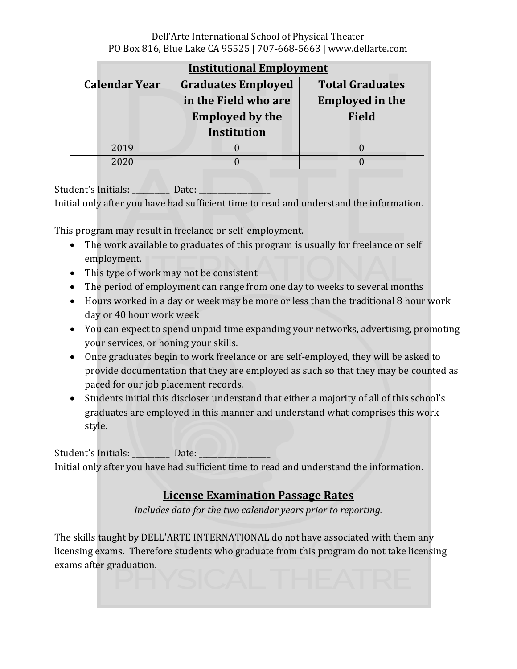#### Dell'Arte International School of Physical Theater PO Box 816, Blue Lake CA 95525 | 707-668-5663 | www.dellarte.com

|                        | <b>Institutional Employment</b> |                        |  |  |  |  |
|------------------------|---------------------------------|------------------------|--|--|--|--|
| <b>Calendar Year</b>   | <b>Graduates Employed</b>       | <b>Total Graduates</b> |  |  |  |  |
|                        | in the Field who are            | <b>Employed in the</b> |  |  |  |  |
| <b>Employed by the</b> |                                 | <b>Field</b>           |  |  |  |  |
|                        | <b>Institution</b>              |                        |  |  |  |  |
| 2019                   |                                 |                        |  |  |  |  |
| 2020                   |                                 |                        |  |  |  |  |

Sdenǯ Iniialǣ ̴̴̴̴̴̴̴̴̴̴ Daeǣ \_\_\_\_\_\_\_\_\_\_\_\_\_\_\_\_\_\_\_ Initial only after you have had sufficient time to read and understand the information.

This program may result in freelance or self-employment.

- The work available to graduates of this program is usually for freelance or self employment.
- This type of work may not be consistent
- The period of employment can range from one day to weeks to several months
- Hours worked in a day or week may be more or less than the traditional 8 hour work day or 40 hour work week
- You can expect to spend unpaid time expanding your networks, advertising, promoting your services, or honing your skills.
- Once graduates begin to work freelance or are self-employed, they will be asked to provide documentation that they are employed as such so that they may be counted as paced for our job placement records.
- Students initial this discloser understand that either a majority of all of this school's graduates are employed in this manner and understand what comprises this work style.

Sdenǯ Iniialǣ ̴̴̴̴̴̴̴̴̴\_ Date: \_\_\_\_\_\_\_\_\_\_\_\_\_\_\_\_\_\_\_ Initial only after you have had sufficient time to read and understand the information.

# **License Examination Passage Rates**

*Includes data for the two calendar years prior to reporting.*

The skills taught by DELL'ARTE INTERNATIONAL do not have associated with them any licensing exams. Therefore students who graduate from this program do not take licensing exams after graduation.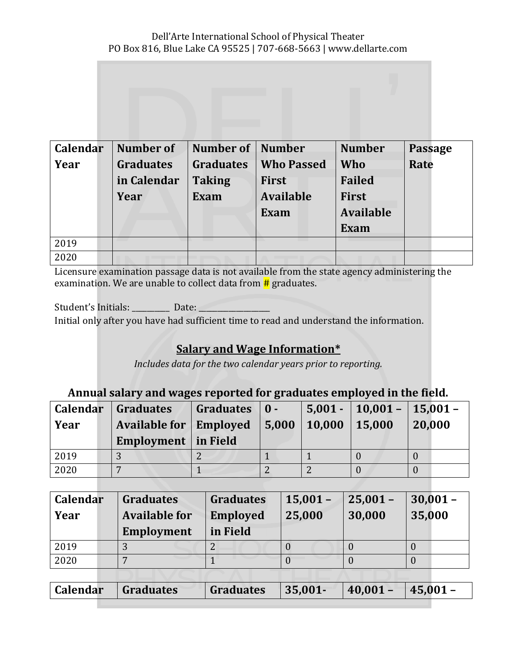| Calendar | <b>Number of</b> | <b>Number of   Number</b> |                   | <b>Number</b>    | <b>Passage</b> |
|----------|------------------|---------------------------|-------------------|------------------|----------------|
| Year     | <b>Graduates</b> | <b>Graduates</b>          | <b>Who Passed</b> | Who              | Rate           |
|          | in Calendar      | <b>Taking</b>             | First             | <b>Failed</b>    |                |
|          | Year             | <b>Exam</b>               | <b>Available</b>  | <b>First</b>     |                |
|          |                  |                           | Exam              | <b>Available</b> |                |
|          |                  |                           |                   | <b>Exam</b>      |                |
| 2019     |                  |                           |                   |                  |                |
| 2020     |                  |                           |                   |                  |                |

Licensure examination passage data is not available from the state agency administering the examination. We are unable to collect data from  $\#$  graduates.

Student's Initials: Date: Initial only after you have had sufficient time to read and understand the information.

## **Salary and Wage Information\***

*Includes data for the two calendar years prior to reporting.*

#### **Annual salary and wages reported for graduates employed in the field.**

| <b>Calendar</b><br>  Year | <b>Graduates</b><br><b>Available for Employed</b><br>Employment   in Field | Graduates $\vert 0 - \vert$ | 5,000 | 10,000 15,000 | $5,001 - 10,001 - 15,001 -$ | 20,000 |
|---------------------------|----------------------------------------------------------------------------|-----------------------------|-------|---------------|-----------------------------|--------|
| 2019                      |                                                                            |                             |       |               |                             |        |
| 2020                      |                                                                            |                             |       |               |                             |        |

| <b>Calendar</b><br>Year | <b>Graduates</b><br><b>Available for</b><br>Employment | <b>Graduates</b><br><b>Employed</b><br>in Field | $15,001 -$<br>25,000 | $25,001 -$<br>30,000 | $30,001 -$<br>35,000 |
|-------------------------|--------------------------------------------------------|-------------------------------------------------|----------------------|----------------------|----------------------|
| 2019                    | . )                                                    |                                                 |                      |                      |                      |
| 2020                    |                                                        |                                                 |                      |                      |                      |
|                         |                                                        |                                                 |                      |                      |                      |

| Calendar   Graduates | $\vert$ Graduates $\vert$ 35,001- | $ 40,001 -$ | $ 45,001 -$ |
|----------------------|-----------------------------------|-------------|-------------|
|                      |                                   |             |             |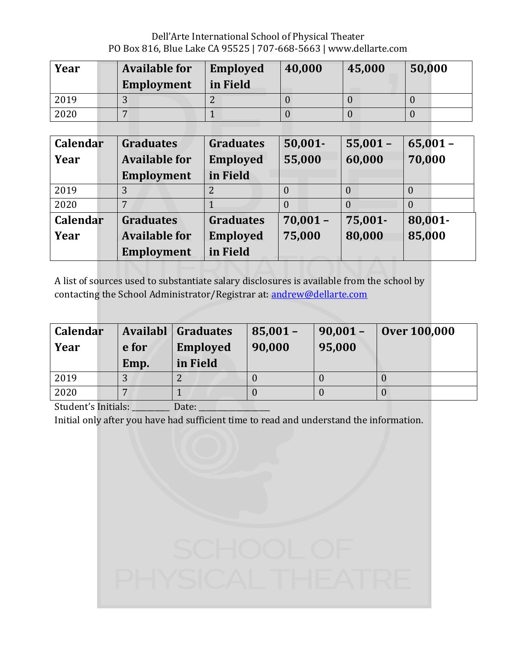Dell'Arte International School of Physical Theater PO Box 816, Blue Lake CA 95525 | 707-668-5663 | www.dellarte.com

| Year | <b>Available for</b><br>Employment | <b>Employed</b><br>in Field | 40,000 | 45,000 | 50,000 |
|------|------------------------------------|-----------------------------|--------|--------|--------|
| 2019 |                                    |                             |        |        |        |
| 2020 |                                    |                             |        |        |        |

| Calendar | <b>Graduates</b>     | <b>Graduates</b> | $50,001 -$ | $55,001 -$   | $65,001 -$ |
|----------|----------------------|------------------|------------|--------------|------------|
| Year     | <b>Available for</b> | <b>Employed</b>  | 55,000     | 60,000       | 70,000     |
|          | <b>Employment</b>    | in Field         |            |              |            |
| 2019     |                      |                  |            | $\mathbf{U}$ | 0          |
| 2020     |                      |                  |            | 0            | 0          |
| Calendar | <b>Graduates</b>     | <b>Graduates</b> | $70,001 -$ | 75,001-      | 80,001-    |
| Year     | <b>Available for</b> | <b>Employed</b>  | 75,000     | 80,000       | 85,000     |
|          | <b>Employment</b>    | in Field         |            |              |            |

A list of sources used to substantiate salary disclosures is available from the school by contacting the School Administrator/Registrar at: andrew@dellarte.com

| <b>Calendar</b><br>Year | e for<br>Emp. | <b>Availabl</b> Graduates<br><b>Employed</b><br>in Field | $85,001 -$<br>90,000 | $90,001 -$<br>95,000 | <b>Over 100,000</b> |
|-------------------------|---------------|----------------------------------------------------------|----------------------|----------------------|---------------------|
| 2019                    |               |                                                          |                      |                      |                     |
| 2020                    |               |                                                          |                      |                      |                     |

Student's Initials: \_\_\_\_\_\_\_\_\_ Date: \_\_\_\_\_\_

Initial only after you have had sufficient time to read and understand the information.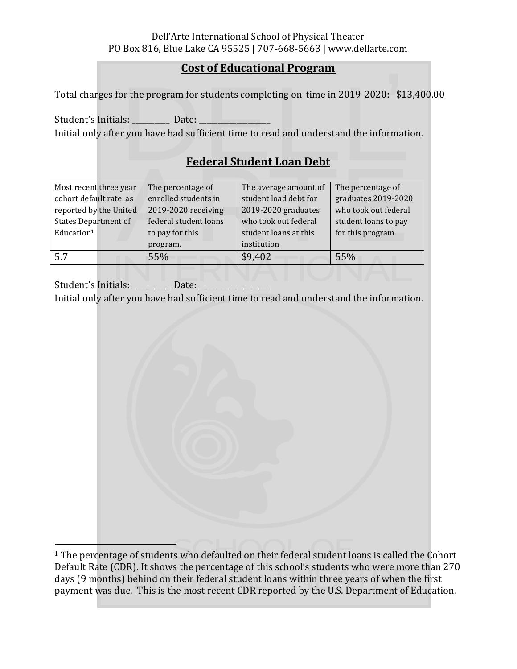### **Cost of Educational Program**

Total charges for the program for students completing on-time in 2019-2020: \$13,400.00

Student's Initials: Date: Initial only after you have had sufficient time to read and understand the information.

# **Federal Student Loan Debt**

| Most recent three year      | The percentage of     | The average amount of | The percentage of    |
|-----------------------------|-----------------------|-----------------------|----------------------|
| cohort default rate, as     | enrolled students in  | student load debt for | graduates 2019-2020  |
| reported by the United      | 2019-2020 receiving   | 2019-2020 graduates   | who took out federal |
| <b>States Department of</b> | federal student loans | who took out federal  | student loans to pay |
| Education <sup>1</sup>      | to pay for this       | student loans at this | for this program.    |
|                             | program.              | institution           |                      |
| 5.7                         | 55%                   | \$9,402               | 55%                  |

Student's Initials: Date: Initial only after you have had sufficient time to read and understand the information.

<sup>1</sup> The percentage of students who defaulted on their federal student loans is called the Cohort Default Rate (CDR). It shows the percentage of this school's students who were more than 270 days (9 months) behind on their federal student loans within three years of when the first payment was due. This is the most recent CDR reported by the U.S. Department of Education.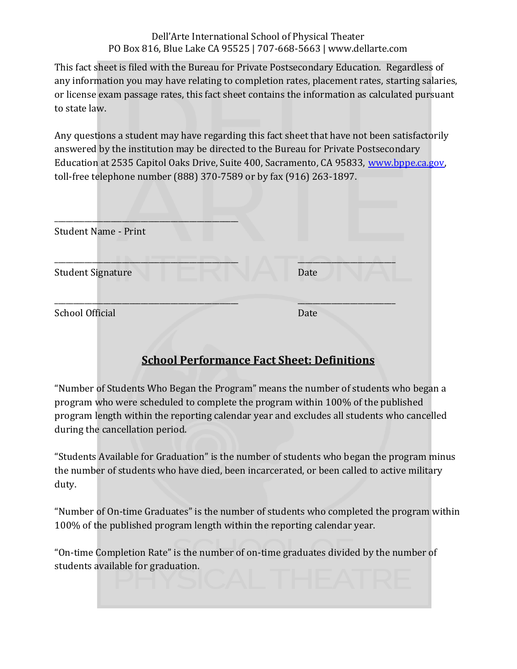#### Dell'Arte International School of Physical Theater PO Box 816, Blue Lake CA 95525 | 707-668-5663 | www.dellarte.com

This fact sheet is filed with the Bureau for Private Postsecondary Education. Regardless of any information you may have relating to completion rates, placement rates, starting salaries, or license exam passage rates, this fact sheet contains the information as calculated pursuant to state law.

Any questions a student may have regarding this fact sheet that have not been satisfactorily answered by the institution may be directed to the Bureau for Private Postsecondary Education at 2535 Capitol Oaks Drive, Suite 400, Sacramento, CA 95833, www.bppe.ca.gov, toll-free telephone number (888) 370-7589 or by fax (916) 263-1897.

| Date |
|------|
| Date |
|      |

# **School Performance Fact Sheet: Definitions**

"Number of Students Who Began the Program" means the number of students who began a program who were scheduled to complete the program within 100% of the published program length within the reporting calendar year and excludes all students who cancelled during the cancellation period.

"Students Available for Graduation" is the number of students who began the program minus the number of students who have died, been incarcerated, or been called to active military duty.

"Number of On-time Graduates" is the number of students who completed the program within 100% of the published program length within the reporting calendar year.

"On-time Completion Rate" is the number of on-time graduates divided by the number of students available for graduation.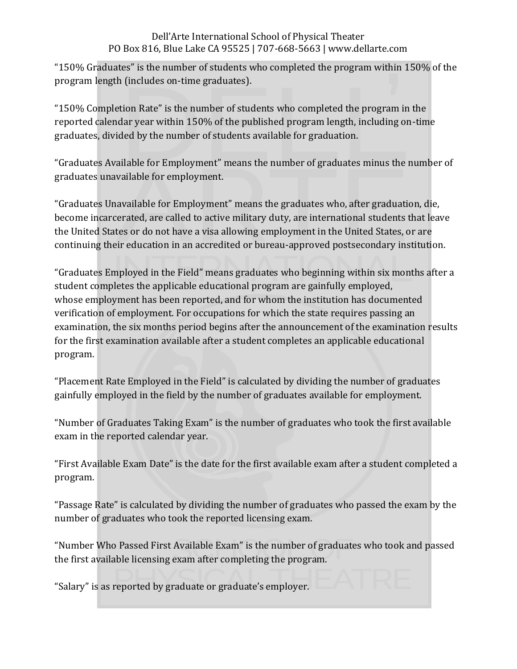#### Dell'Arte International School of Physical Theater PO Box 816, Blue Lake CA 95525 | 707-668-5663 | www.dellarte.com

"150% Graduates" is the number of students who completed the program within 150% of the program length (includes on-time graduates).

"150% Completion Rate" is the number of students who completed the program in the reported calendar year within 150% of the published program length, including on-time graduates, divided by the number of students available for graduation.

"Graduates Available for Employment" means the number of graduates minus the number of graduates unavailable for employment.

"Graduates Unavailable for Employment" means the graduates who, after graduation, die, become incarcerated, are called to active military duty, are international students that leave the United States or do not have a visa allowing employment in the United States, or are continuing their education in an accredited or bureau-approved postsecondary institution.

"Graduates Employed in the Field" means graduates who beginning within six months after a student completes the applicable educational program are gainfully employed, whose employment has been reported, and for whom the institution has documented verification of employment. For occupations for which the state requires passing an examination, the six months period begins after the announcement of the examination results for the first examination available after a student completes an applicable educational program.

"Placement Rate Employed in the Field" is calculated by dividing the number of graduates gainfully employed in the field by the number of graduates available for employment.

"Number of Graduates Taking Exam" is the number of graduates who took the first available exam in the reported calendar year.

"First Available Exam Date" is the date for the first available exam after a student completed a program.

"Passage Rate" is calculated by dividing the number of graduates who passed the exam by the number of graduates who took the reported licensing exam.

"Number Who Passed First Available Exam" is the number of graduates who took and passed the first available licensing exam after completing the program.

"Salary" is as reported by graduate or graduate's employer.